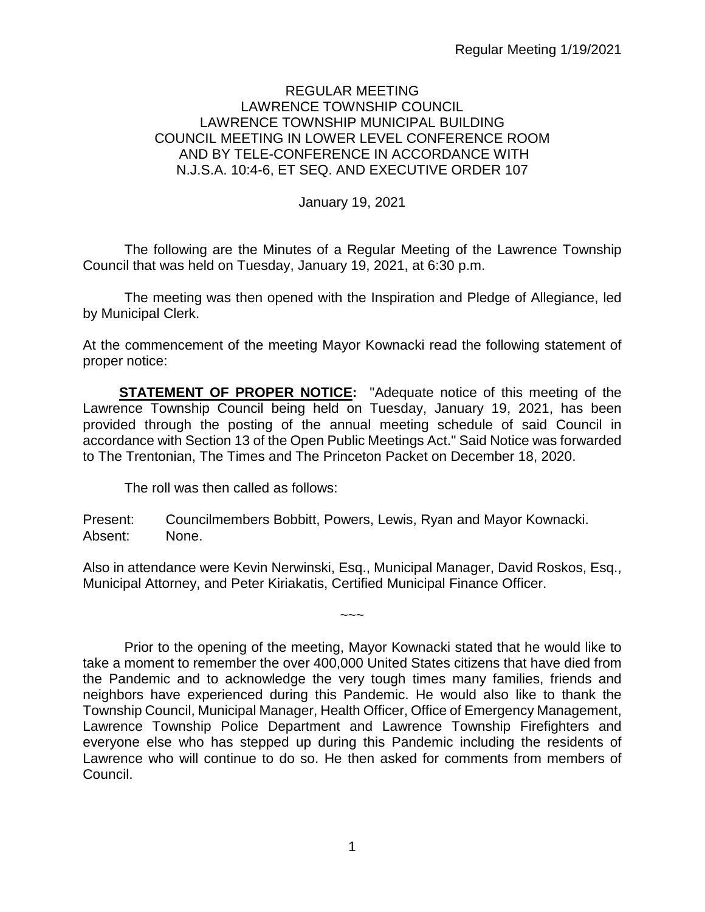### REGULAR MEETING LAWRENCE TOWNSHIP COUNCIL LAWRENCE TOWNSHIP MUNICIPAL BUILDING COUNCIL MEETING IN LOWER LEVEL CONFERENCE ROOM AND BY TELE-CONFERENCE IN ACCORDANCE WITH N.J.S.A. 10:4-6, ET SEQ. AND EXECUTIVE ORDER 107

January 19, 2021

The following are the Minutes of a Regular Meeting of the Lawrence Township Council that was held on Tuesday, January 19, 2021, at 6:30 p.m.

The meeting was then opened with the Inspiration and Pledge of Allegiance, led by Municipal Clerk.

At the commencement of the meeting Mayor Kownacki read the following statement of proper notice:

**STATEMENT OF PROPER NOTICE:** "Adequate notice of this meeting of the Lawrence Township Council being held on Tuesday, January 19, 2021, has been provided through the posting of the annual meeting schedule of said Council in accordance with Section 13 of the Open Public Meetings Act." Said Notice was forwarded to The Trentonian, The Times and The Princeton Packet on December 18, 2020.

The roll was then called as follows:

Present: Councilmembers Bobbitt, Powers, Lewis, Ryan and Mayor Kownacki. Absent: None.

Also in attendance were Kevin Nerwinski, Esq., Municipal Manager, David Roskos, Esq., Municipal Attorney, and Peter Kiriakatis, Certified Municipal Finance Officer.

 $\sim\sim\sim$ 

Prior to the opening of the meeting, Mayor Kownacki stated that he would like to take a moment to remember the over 400,000 United States citizens that have died from the Pandemic and to acknowledge the very tough times many families, friends and neighbors have experienced during this Pandemic. He would also like to thank the Township Council, Municipal Manager, Health Officer, Office of Emergency Management, Lawrence Township Police Department and Lawrence Township Firefighters and everyone else who has stepped up during this Pandemic including the residents of Lawrence who will continue to do so. He then asked for comments from members of Council.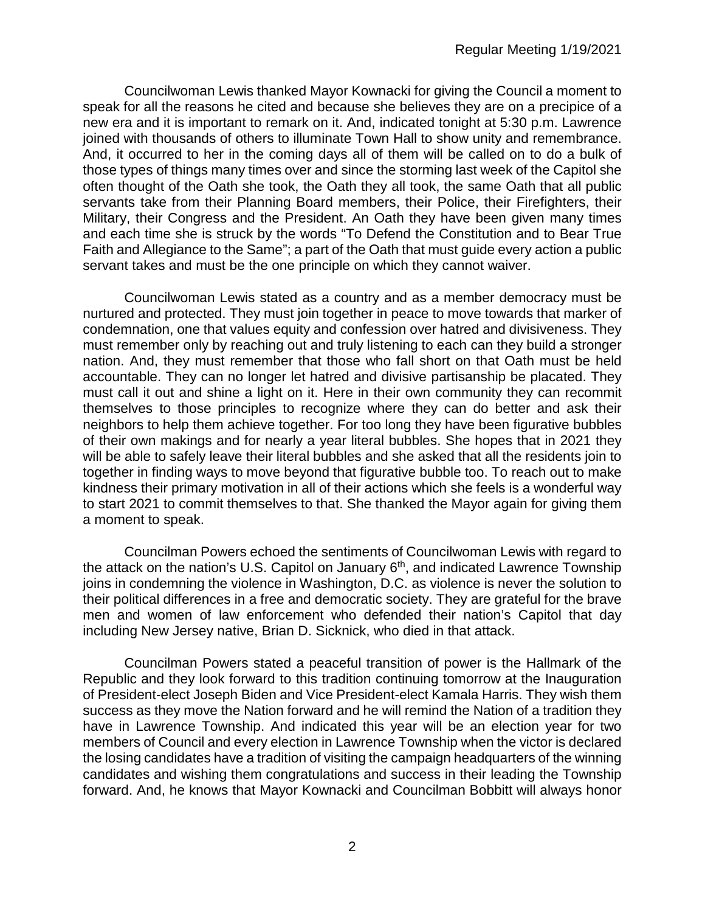Councilwoman Lewis thanked Mayor Kownacki for giving the Council a moment to speak for all the reasons he cited and because she believes they are on a precipice of a new era and it is important to remark on it. And, indicated tonight at 5:30 p.m. Lawrence joined with thousands of others to illuminate Town Hall to show unity and remembrance. And, it occurred to her in the coming days all of them will be called on to do a bulk of those types of things many times over and since the storming last week of the Capitol she often thought of the Oath she took, the Oath they all took, the same Oath that all public servants take from their Planning Board members, their Police, their Firefighters, their Military, their Congress and the President. An Oath they have been given many times and each time she is struck by the words "To Defend the Constitution and to Bear True Faith and Allegiance to the Same"; a part of the Oath that must guide every action a public servant takes and must be the one principle on which they cannot waiver.

Councilwoman Lewis stated as a country and as a member democracy must be nurtured and protected. They must join together in peace to move towards that marker of condemnation, one that values equity and confession over hatred and divisiveness. They must remember only by reaching out and truly listening to each can they build a stronger nation. And, they must remember that those who fall short on that Oath must be held accountable. They can no longer let hatred and divisive partisanship be placated. They must call it out and shine a light on it. Here in their own community they can recommit themselves to those principles to recognize where they can do better and ask their neighbors to help them achieve together. For too long they have been figurative bubbles of their own makings and for nearly a year literal bubbles. She hopes that in 2021 they will be able to safely leave their literal bubbles and she asked that all the residents join to together in finding ways to move beyond that figurative bubble too. To reach out to make kindness their primary motivation in all of their actions which she feels is a wonderful way to start 2021 to commit themselves to that. She thanked the Mayor again for giving them a moment to speak.

Councilman Powers echoed the sentiments of Councilwoman Lewis with regard to the attack on the nation's U.S. Capitol on January  $6<sup>th</sup>$ , and indicated Lawrence Township joins in condemning the violence in Washington, D.C. as violence is never the solution to their political differences in a free and democratic society. They are grateful for the brave men and women of law enforcement who defended their nation's Capitol that day including New Jersey native, Brian D. Sicknick, who died in that attack.

Councilman Powers stated a peaceful transition of power is the Hallmark of the Republic and they look forward to this tradition continuing tomorrow at the Inauguration of President-elect Joseph Biden and Vice President-elect Kamala Harris. They wish them success as they move the Nation forward and he will remind the Nation of a tradition they have in Lawrence Township. And indicated this year will be an election year for two members of Council and every election in Lawrence Township when the victor is declared the losing candidates have a tradition of visiting the campaign headquarters of the winning candidates and wishing them congratulations and success in their leading the Township forward. And, he knows that Mayor Kownacki and Councilman Bobbitt will always honor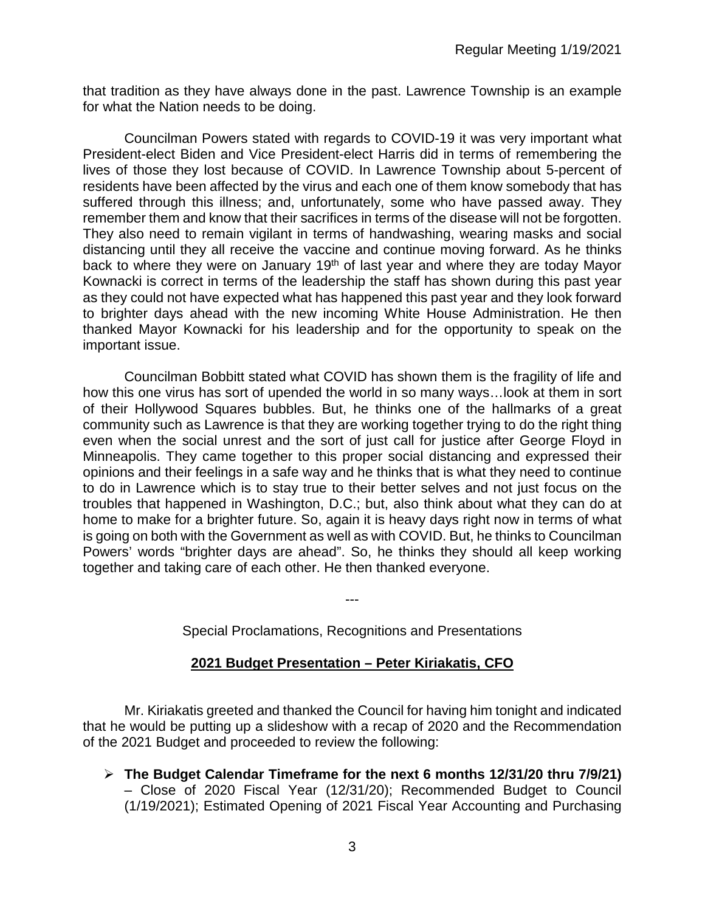that tradition as they have always done in the past. Lawrence Township is an example for what the Nation needs to be doing.

Councilman Powers stated with regards to COVID-19 it was very important what President-elect Biden and Vice President-elect Harris did in terms of remembering the lives of those they lost because of COVID. In Lawrence Township about 5-percent of residents have been affected by the virus and each one of them know somebody that has suffered through this illness; and, unfortunately, some who have passed away. They remember them and know that their sacrifices in terms of the disease will not be forgotten. They also need to remain vigilant in terms of handwashing, wearing masks and social distancing until they all receive the vaccine and continue moving forward. As he thinks back to where they were on January 19<sup>th</sup> of last year and where they are today Mayor Kownacki is correct in terms of the leadership the staff has shown during this past year as they could not have expected what has happened this past year and they look forward to brighter days ahead with the new incoming White House Administration. He then thanked Mayor Kownacki for his leadership and for the opportunity to speak on the important issue.

Councilman Bobbitt stated what COVID has shown them is the fragility of life and how this one virus has sort of upended the world in so many ways…look at them in sort of their Hollywood Squares bubbles. But, he thinks one of the hallmarks of a great community such as Lawrence is that they are working together trying to do the right thing even when the social unrest and the sort of just call for justice after George Floyd in Minneapolis. They came together to this proper social distancing and expressed their opinions and their feelings in a safe way and he thinks that is what they need to continue to do in Lawrence which is to stay true to their better selves and not just focus on the troubles that happened in Washington, D.C.; but, also think about what they can do at home to make for a brighter future. So, again it is heavy days right now in terms of what is going on both with the Government as well as with COVID. But, he thinks to Councilman Powers' words "brighter days are ahead". So, he thinks they should all keep working together and taking care of each other. He then thanked everyone.

Special Proclamations, Recognitions and Presentations

---

### **2021 Budget Presentation – Peter Kiriakatis, CFO**

Mr. Kiriakatis greeted and thanked the Council for having him tonight and indicated that he would be putting up a slideshow with a recap of 2020 and the Recommendation of the 2021 Budget and proceeded to review the following:

 **The Budget Calendar Timeframe for the next 6 months 12/31/20 thru 7/9/21)** – Close of 2020 Fiscal Year (12/31/20); Recommended Budget to Council (1/19/2021); Estimated Opening of 2021 Fiscal Year Accounting and Purchasing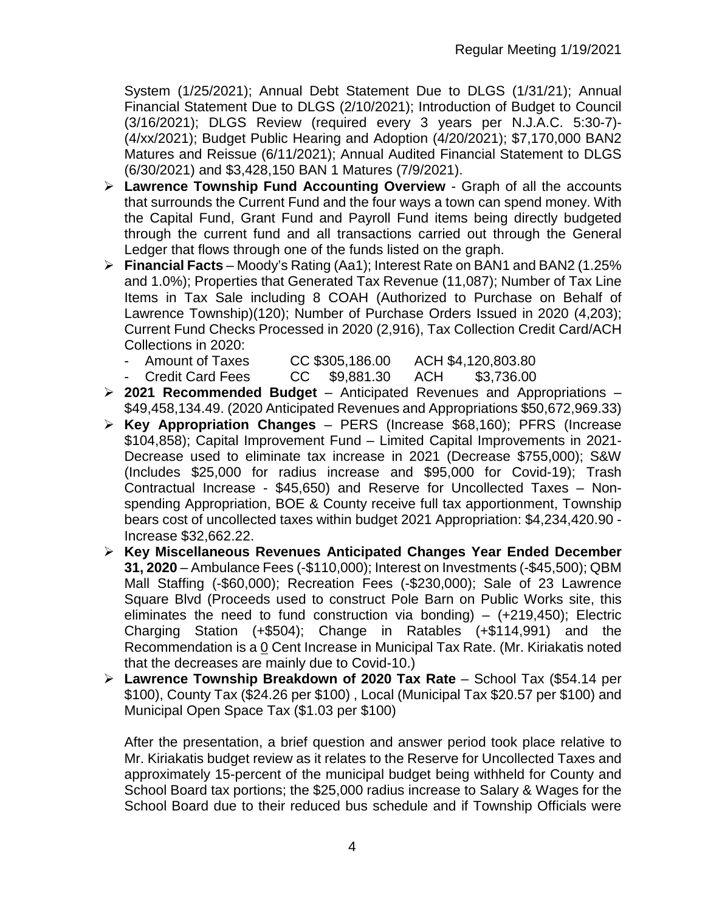System (1/25/2021); Annual Debt Statement Due to DLGS (1/31/21); Annual Financial Statement Due to DLGS (2/10/2021); Introduction of Budget to Council (3/16/2021); DLGS Review (required every 3 years per N.J.A.C. 5:30-7)- (4/xx/2021); Budget Public Hearing and Adoption (4/20/2021); \$7,170,000 BAN2 Matures and Reissue (6/11/2021); Annual Audited Financial Statement to DLGS (6/30/2021) and \$3,428,150 BAN 1 Matures (7/9/2021).

- **Lawrence Township Fund Accounting Overview** Graph of all the accounts that surrounds the Current Fund and the four ways a town can spend money. With the Capital Fund, Grant Fund and Payroll Fund items being directly budgeted through the current fund and all transactions carried out through the General Ledger that flows through one of the funds listed on the graph.
- **Financial Facts** Moody's Rating (Aa1); Interest Rate on BAN1 and BAN2 (1.25% and 1.0%); Properties that Generated Tax Revenue (11,087); Number of Tax Line Items in Tax Sale including 8 COAH (Authorized to Purchase on Behalf of Lawrence Township)(120); Number of Purchase Orders Issued in 2020 (4,203); Current Fund Checks Processed in 2020 (2,916), Tax Collection Credit Card/ACH Collections in 2020:
	- Amount of Taxes CC \$305,186.00 ACH \$4,120,803.80
		- Credit Card Fees CC \$9,881.30 ACH \$3,736.00
- **2021 Recommended Budget** Anticipated Revenues and Appropriations \$49,458,134.49. (2020 Anticipated Revenues and Appropriations \$50,672,969.33)
- **Key Appropriation Changes** PERS (Increase \$68,160); PFRS (Increase \$104,858); Capital Improvement Fund – Limited Capital Improvements in 2021- Decrease used to eliminate tax increase in 2021 (Decrease \$755,000); S&W (Includes \$25,000 for radius increase and \$95,000 for Covid-19); Trash Contractual Increase - \$45,650) and Reserve for Uncollected Taxes – Nonspending Appropriation, BOE & County receive full tax apportionment, Township bears cost of uncollected taxes within budget 2021 Appropriation: \$4,234,420.90 - Increase \$32,662.22.
- **Key Miscellaneous Revenues Anticipated Changes Year Ended December 31, 2020** – Ambulance Fees (-\$110,000); Interest on Investments (-\$45,500); QBM Mall Staffing (-\$60,000); Recreation Fees (-\$230,000); Sale of 23 Lawrence Square Blvd (Proceeds used to construct Pole Barn on Public Works site, this eliminates the need to fund construction via bonding)  $-$  (+219,450); Electric Charging Station (+\$504); Change in Ratables (+\$114,991) and the Recommendation is a 0 Cent Increase in Municipal Tax Rate. (Mr. Kiriakatis noted that the decreases are mainly due to Covid-10.)
- **Lawrence Township Breakdown of 2020 Tax Rate** School Tax (\$54.14 per \$100), County Tax (\$24.26 per \$100) , Local (Municipal Tax \$20.57 per \$100) and Municipal Open Space Tax (\$1.03 per \$100)

After the presentation, a brief question and answer period took place relative to Mr. Kiriakatis budget review as it relates to the Reserve for Uncollected Taxes and approximately 15-percent of the municipal budget being withheld for County and School Board tax portions; the \$25,000 radius increase to Salary & Wages for the School Board due to their reduced bus schedule and if Township Officials were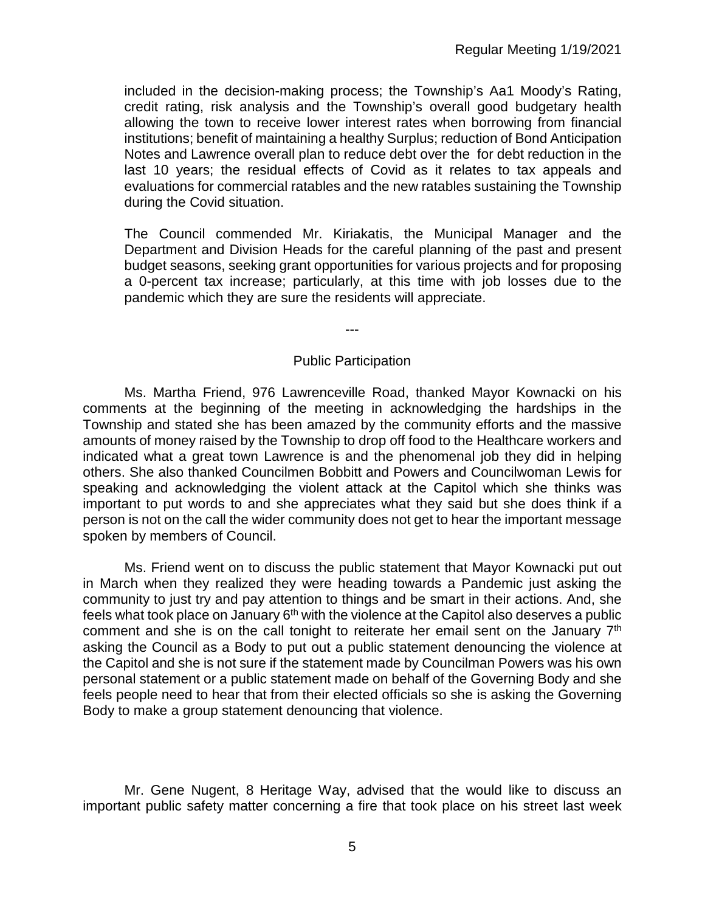included in the decision-making process; the Township's Aa1 Moody's Rating, credit rating, risk analysis and the Township's overall good budgetary health allowing the town to receive lower interest rates when borrowing from financial institutions; benefit of maintaining a healthy Surplus; reduction of Bond Anticipation Notes and Lawrence overall plan to reduce debt over the for debt reduction in the last 10 years; the residual effects of Covid as it relates to tax appeals and evaluations for commercial ratables and the new ratables sustaining the Township during the Covid situation.

The Council commended Mr. Kiriakatis, the Municipal Manager and the Department and Division Heads for the careful planning of the past and present budget seasons, seeking grant opportunities for various projects and for proposing a 0-percent tax increase; particularly, at this time with job losses due to the pandemic which they are sure the residents will appreciate.

---

#### Public Participation

Ms. Martha Friend, 976 Lawrenceville Road, thanked Mayor Kownacki on his comments at the beginning of the meeting in acknowledging the hardships in the Township and stated she has been amazed by the community efforts and the massive amounts of money raised by the Township to drop off food to the Healthcare workers and indicated what a great town Lawrence is and the phenomenal job they did in helping others. She also thanked Councilmen Bobbitt and Powers and Councilwoman Lewis for speaking and acknowledging the violent attack at the Capitol which she thinks was important to put words to and she appreciates what they said but she does think if a person is not on the call the wider community does not get to hear the important message spoken by members of Council.

Ms. Friend went on to discuss the public statement that Mayor Kownacki put out in March when they realized they were heading towards a Pandemic just asking the community to just try and pay attention to things and be smart in their actions. And, she feels what took place on January  $6<sup>th</sup>$  with the violence at the Capitol also deserves a public comment and she is on the call tonight to reiterate her email sent on the January 7<sup>th</sup> asking the Council as a Body to put out a public statement denouncing the violence at the Capitol and she is not sure if the statement made by Councilman Powers was his own personal statement or a public statement made on behalf of the Governing Body and she feels people need to hear that from their elected officials so she is asking the Governing Body to make a group statement denouncing that violence.

Mr. Gene Nugent, 8 Heritage Way, advised that the would like to discuss an important public safety matter concerning a fire that took place on his street last week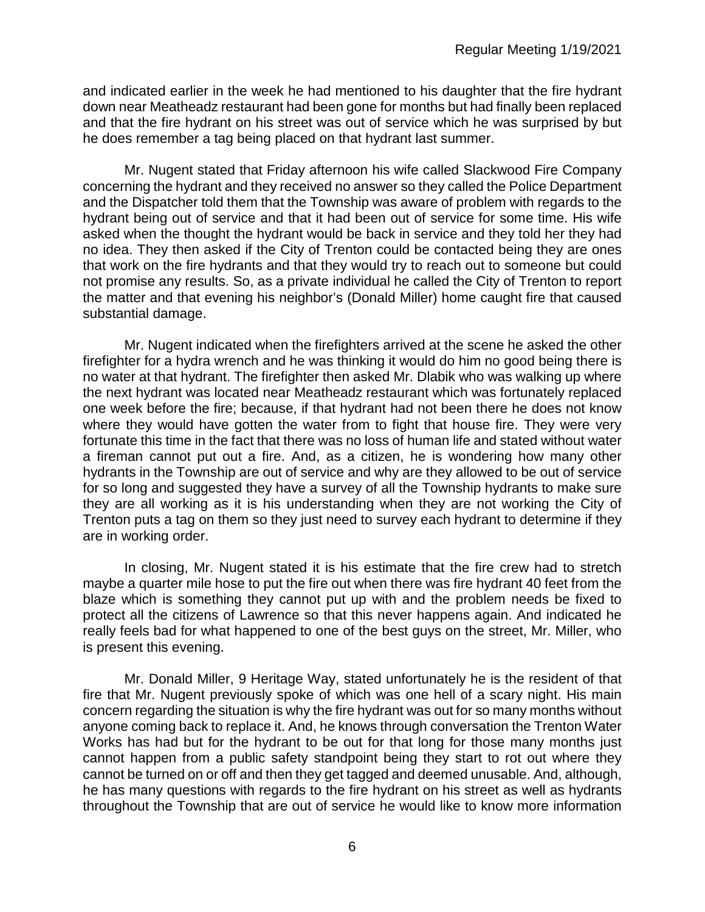and indicated earlier in the week he had mentioned to his daughter that the fire hydrant down near Meatheadz restaurant had been gone for months but had finally been replaced and that the fire hydrant on his street was out of service which he was surprised by but he does remember a tag being placed on that hydrant last summer.

Mr. Nugent stated that Friday afternoon his wife called Slackwood Fire Company concerning the hydrant and they received no answer so they called the Police Department and the Dispatcher told them that the Township was aware of problem with regards to the hydrant being out of service and that it had been out of service for some time. His wife asked when the thought the hydrant would be back in service and they told her they had no idea. They then asked if the City of Trenton could be contacted being they are ones that work on the fire hydrants and that they would try to reach out to someone but could not promise any results. So, as a private individual he called the City of Trenton to report the matter and that evening his neighbor's (Donald Miller) home caught fire that caused substantial damage.

Mr. Nugent indicated when the firefighters arrived at the scene he asked the other firefighter for a hydra wrench and he was thinking it would do him no good being there is no water at that hydrant. The firefighter then asked Mr. Dlabik who was walking up where the next hydrant was located near Meatheadz restaurant which was fortunately replaced one week before the fire; because, if that hydrant had not been there he does not know where they would have gotten the water from to fight that house fire. They were very fortunate this time in the fact that there was no loss of human life and stated without water a fireman cannot put out a fire. And, as a citizen, he is wondering how many other hydrants in the Township are out of service and why are they allowed to be out of service for so long and suggested they have a survey of all the Township hydrants to make sure they are all working as it is his understanding when they are not working the City of Trenton puts a tag on them so they just need to survey each hydrant to determine if they are in working order.

In closing, Mr. Nugent stated it is his estimate that the fire crew had to stretch maybe a quarter mile hose to put the fire out when there was fire hydrant 40 feet from the blaze which is something they cannot put up with and the problem needs be fixed to protect all the citizens of Lawrence so that this never happens again. And indicated he really feels bad for what happened to one of the best guys on the street, Mr. Miller, who is present this evening.

Mr. Donald Miller, 9 Heritage Way, stated unfortunately he is the resident of that fire that Mr. Nugent previously spoke of which was one hell of a scary night. His main concern regarding the situation is why the fire hydrant was out for so many months without anyone coming back to replace it. And, he knows through conversation the Trenton Water Works has had but for the hydrant to be out for that long for those many months just cannot happen from a public safety standpoint being they start to rot out where they cannot be turned on or off and then they get tagged and deemed unusable. And, although, he has many questions with regards to the fire hydrant on his street as well as hydrants throughout the Township that are out of service he would like to know more information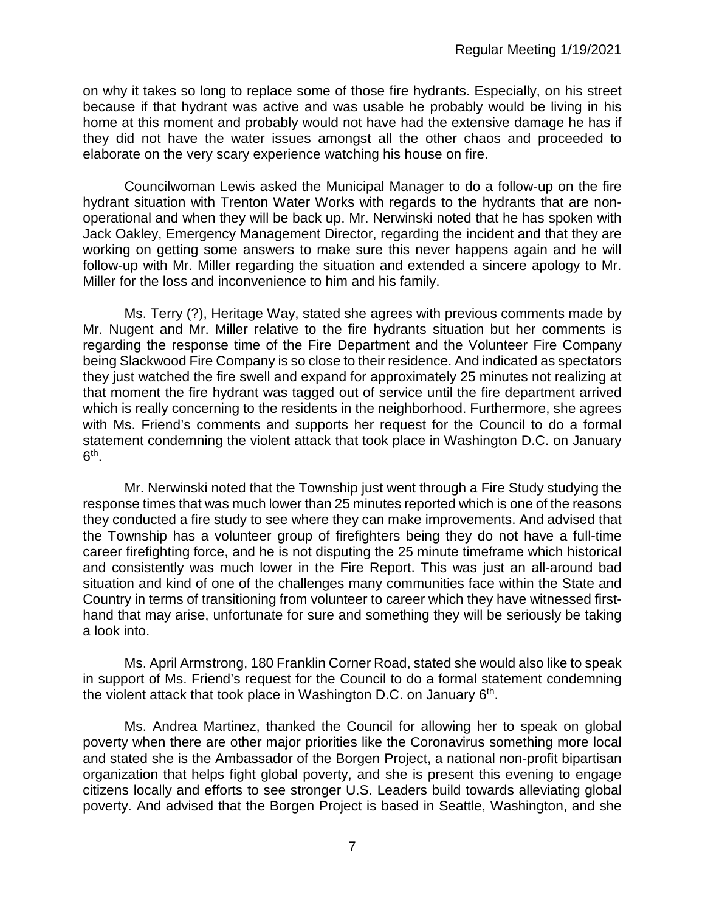on why it takes so long to replace some of those fire hydrants. Especially, on his street because if that hydrant was active and was usable he probably would be living in his home at this moment and probably would not have had the extensive damage he has if they did not have the water issues amongst all the other chaos and proceeded to elaborate on the very scary experience watching his house on fire.

Councilwoman Lewis asked the Municipal Manager to do a follow-up on the fire hydrant situation with Trenton Water Works with regards to the hydrants that are nonoperational and when they will be back up. Mr. Nerwinski noted that he has spoken with Jack Oakley, Emergency Management Director, regarding the incident and that they are working on getting some answers to make sure this never happens again and he will follow-up with Mr. Miller regarding the situation and extended a sincere apology to Mr. Miller for the loss and inconvenience to him and his family.

Ms. Terry (?), Heritage Way, stated she agrees with previous comments made by Mr. Nugent and Mr. Miller relative to the fire hydrants situation but her comments is regarding the response time of the Fire Department and the Volunteer Fire Company being Slackwood Fire Company is so close to their residence. And indicated as spectators they just watched the fire swell and expand for approximately 25 minutes not realizing at that moment the fire hydrant was tagged out of service until the fire department arrived which is really concerning to the residents in the neighborhood. Furthermore, she agrees with Ms. Friend's comments and supports her request for the Council to do a formal statement condemning the violent attack that took place in Washington D.C. on January  $6<sup>th</sup>$ .

Mr. Nerwinski noted that the Township just went through a Fire Study studying the response times that was much lower than 25 minutes reported which is one of the reasons they conducted a fire study to see where they can make improvements. And advised that the Township has a volunteer group of firefighters being they do not have a full-time career firefighting force, and he is not disputing the 25 minute timeframe which historical and consistently was much lower in the Fire Report. This was just an all-around bad situation and kind of one of the challenges many communities face within the State and Country in terms of transitioning from volunteer to career which they have witnessed firsthand that may arise, unfortunate for sure and something they will be seriously be taking a look into.

Ms. April Armstrong, 180 Franklin Corner Road, stated she would also like to speak in support of Ms. Friend's request for the Council to do a formal statement condemning the violent attack that took place in Washington D.C. on January  $6<sup>th</sup>$ .

Ms. Andrea Martinez, thanked the Council for allowing her to speak on global poverty when there are other major priorities like the Coronavirus something more local and stated she is the Ambassador of the Borgen Project, a national non-profit bipartisan organization that helps fight global poverty, and she is present this evening to engage citizens locally and efforts to see stronger U.S. Leaders build towards alleviating global poverty. And advised that the Borgen Project is based in Seattle, Washington, and she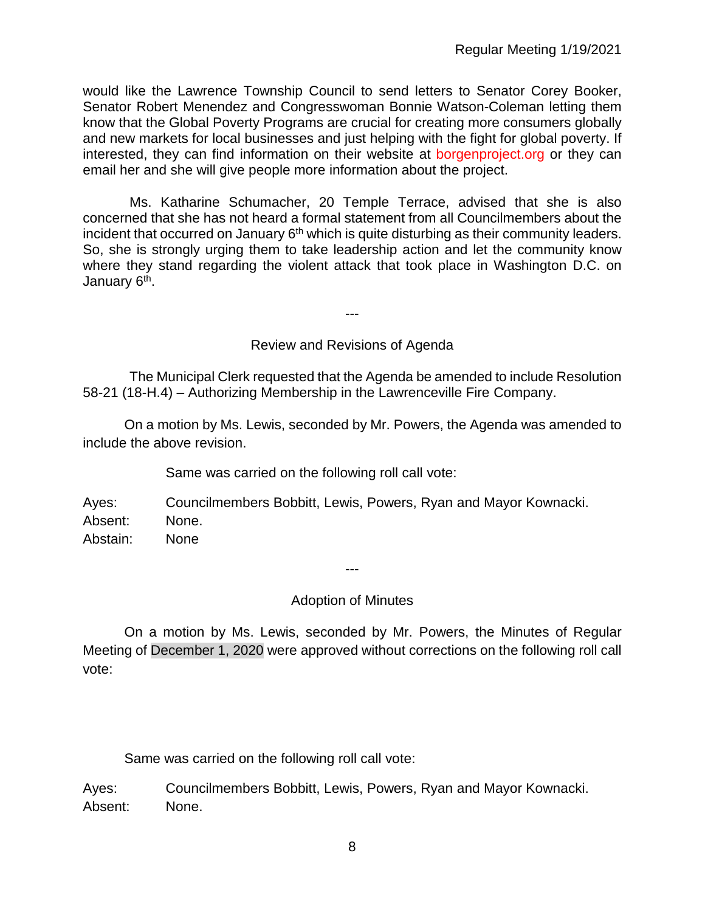would like the Lawrence Township Council to send letters to Senator Corey Booker, Senator Robert Menendez and Congresswoman Bonnie Watson-Coleman letting them know that the Global Poverty Programs are crucial for creating more consumers globally and new markets for local businesses and just helping with the fight for global poverty. If interested, they can find information on their website at borgenproject.org or they can email her and she will give people more information about the project.

Ms. Katharine Schumacher, 20 Temple Terrace, advised that she is also concerned that she has not heard a formal statement from all Councilmembers about the incident that occurred on January  $6<sup>th</sup>$  which is quite disturbing as their community leaders. So, she is strongly urging them to take leadership action and let the community know where they stand regarding the violent attack that took place in Washington D.C. on January 6<sup>th</sup>.

Review and Revisions of Agenda

---

The Municipal Clerk requested that the Agenda be amended to include Resolution 58-21 (18-H.4) – Authorizing Membership in the Lawrenceville Fire Company.

On a motion by Ms. Lewis, seconded by Mr. Powers, the Agenda was amended to include the above revision.

Same was carried on the following roll call vote:

Ayes: Councilmembers Bobbitt, Lewis, Powers, Ryan and Mayor Kownacki. Absent: None. Abstain: None

---

## Adoption of Minutes

On a motion by Ms. Lewis, seconded by Mr. Powers, the Minutes of Regular Meeting of December 1, 2020 were approved without corrections on the following roll call vote:

Same was carried on the following roll call vote:

Ayes: Councilmembers Bobbitt, Lewis, Powers, Ryan and Mayor Kownacki. Absent: None.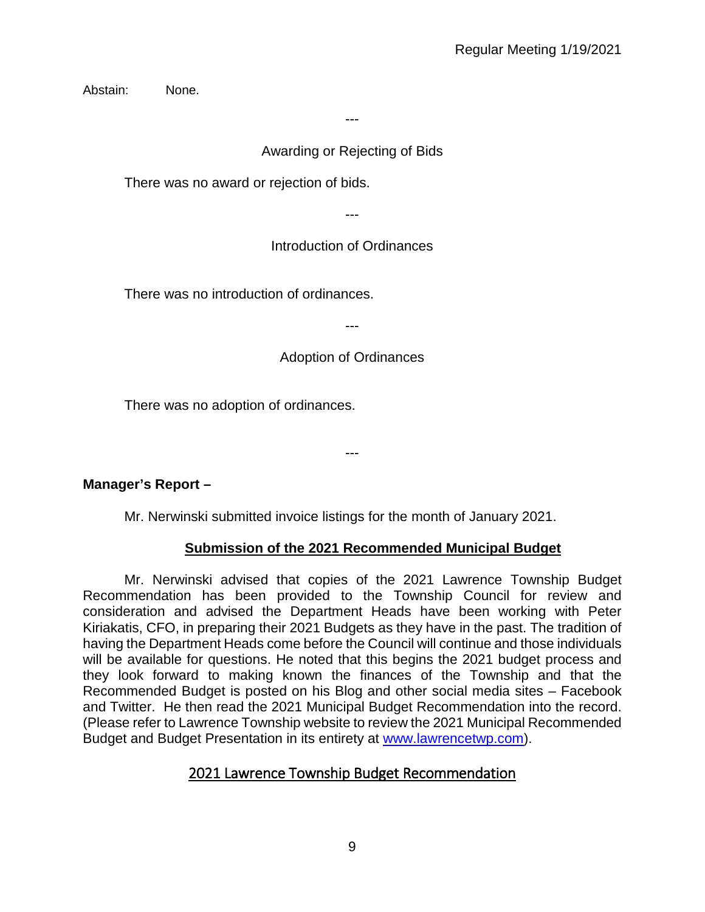Abstain: None.

---

## Awarding or Rejecting of Bids

There was no award or rejection of bids.

---

# Introduction of Ordinances

There was no introduction of ordinances.

---

# Adoption of Ordinances

There was no adoption of ordinances.

---

# **Manager's Report –**

Mr. Nerwinski submitted invoice listings for the month of January 2021.

# **Submission of the 2021 Recommended Municipal Budget**

Mr. Nerwinski advised that copies of the 2021 Lawrence Township Budget Recommendation has been provided to the Township Council for review and consideration and advised the Department Heads have been working with Peter Kiriakatis, CFO, in preparing their 2021 Budgets as they have in the past. The tradition of having the Department Heads come before the Council will continue and those individuals will be available for questions. He noted that this begins the 2021 budget process and they look forward to making known the finances of the Township and that the Recommended Budget is posted on his Blog and other social media sites – Facebook and Twitter. He then read the 2021 Municipal Budget Recommendation into the record. (Please refer to Lawrence Township website to review the 2021 Municipal Recommended Budget and Budget Presentation in its entirety at [www.lawrencetwp.com\)](http://www.lawrencetwp.com/).

# 2021 Lawrence Township Budget Recommendation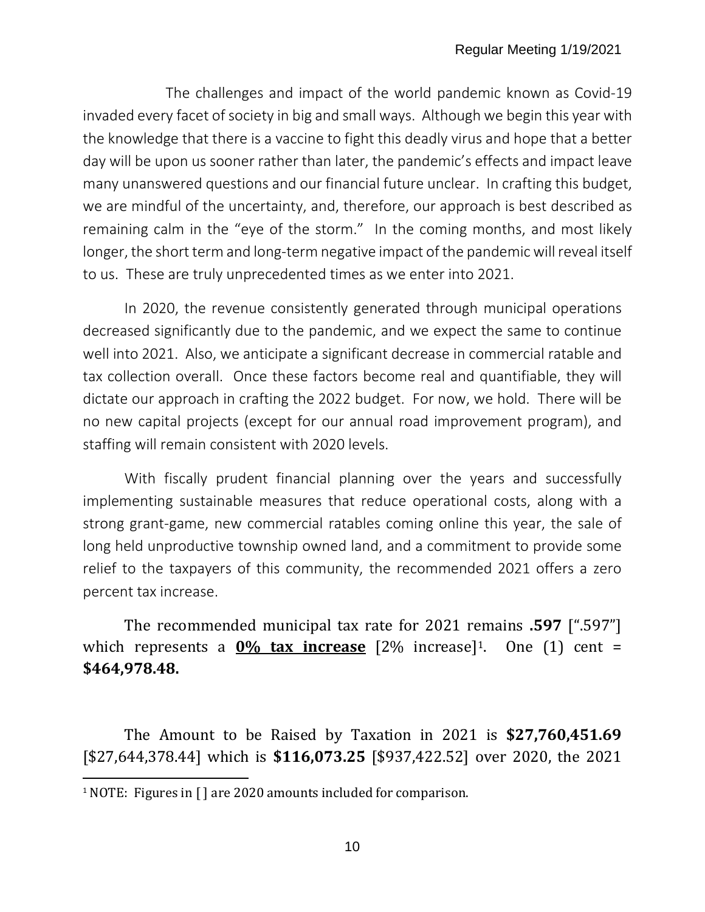The challenges and impact of the world pandemic known as Covid-19 invaded every facet of society in big and small ways. Although we begin this year with the knowledge that there is a vaccine to fight this deadly virus and hope that a better day will be upon us sooner rather than later, the pandemic's effects and impact leave many unanswered questions and our financial future unclear. In crafting this budget, we are mindful of the uncertainty, and, therefore, our approach is best described as remaining calm in the "eye of the storm." In the coming months, and most likely longer, the short term and long-term negative impact of the pandemic will reveal itself to us. These are truly unprecedented times as we enter into 2021.

In 2020, the revenue consistently generated through municipal operations decreased significantly due to the pandemic, and we expect the same to continue well into 2021. Also, we anticipate a significant decrease in commercial ratable and tax collection overall. Once these factors become real and quantifiable, they will dictate our approach in crafting the 2022 budget. For now, we hold. There will be no new capital projects (except for our annual road improvement program), and staffing will remain consistent with 2020 levels.

With fiscally prudent financial planning over the years and successfully implementing sustainable measures that reduce operational costs, along with a strong grant-game, new commercial ratables coming online this year, the sale of long held unproductive township owned land, and a commitment to provide some relief to the taxpayers of this community, the recommended 2021 offers a zero percent tax increase.

The recommended municipal tax rate for 2021 remains **.597** [".597"] which represents a **0% tax increase** [2% increase]<sup>[1](#page-9-0)</sup>. One (1) cent = **\$464,978.48.**

The Amount to be Raised by Taxation in 2021 is **\$27,760,451.69** [\$27,644,378.44] which is **\$116,073.25** [\$937,422.52] over 2020, the 2021

<span id="page-9-0"></span><sup>&</sup>lt;sup>1</sup> NOTE: Figures in [] are 2020 amounts included for comparison.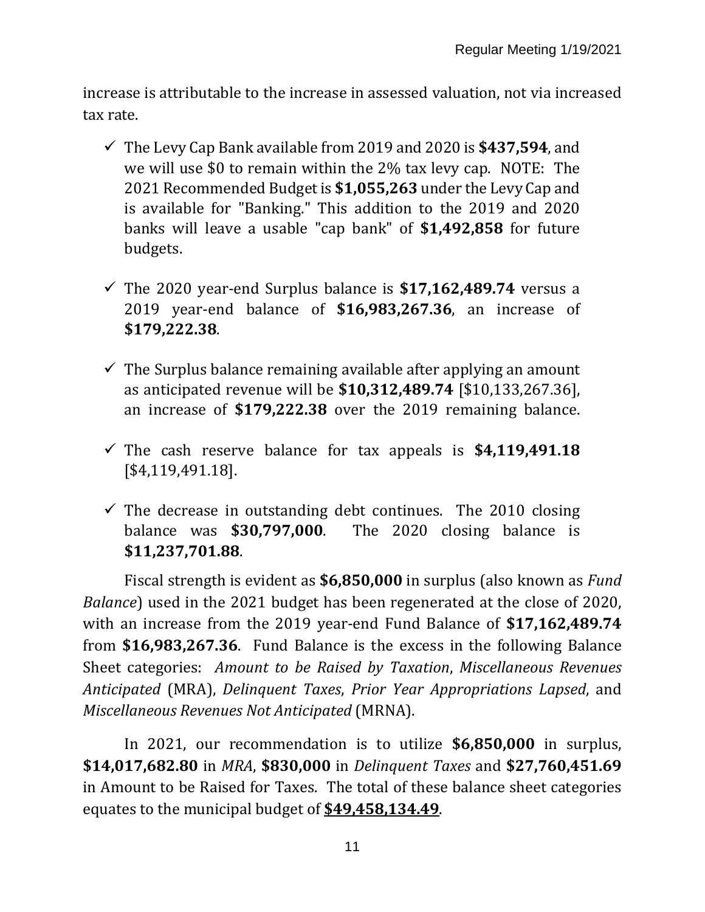increase is attributable to the increase in assessed valuation, not via increased tax rate.

- The Levy Cap Bank available from 2019 and 2020 is **\$437,594**, and we will use \$0 to remain within the 2% tax levy cap. NOTE: The 2021 Recommended Budget is **\$1,055,263** under the Levy Cap and is available for "Banking." This addition to the 2019 and 2020 banks will leave a usable "cap bank" of **\$1,492,858** for future budgets.
- $\checkmark$  The 2020 year-end Surplus balance is **\$17,162,489.74** versus a 2019 year-end balance of **\$16,983,267.36**, an increase of **\$179,222.38**.
- $\checkmark$  The Surplus balance remaining available after applying an amount as anticipated revenue will be **\$10,312,489.74** [\$10,133,267.36], an increase of **\$179,222.38** over the 2019 remaining balance.
- $\checkmark$  The cash reserve balance for tax appeals is  $$4,119,491.18$ [\$4,119,491.18].
- $\checkmark$  The decrease in outstanding debt continues. The 2010 closing balance was **\$30,797,000**. The 2020 closing balance is **\$11,237,701.88**.

Fiscal strength is evident as **\$6,850,000** in surplus (also known as *Fund Balance*) used in the 2021 budget has been regenerated at the close of 2020, with an increase from the 2019 year-end Fund Balance of **\$17,162,489.74** from **\$16,983,267.36**. Fund Balance is the excess in the following Balance Sheet categories: *Amount to be Raised by Taxation*, *Miscellaneous Revenues Anticipated* (MRA), *Delinquent Taxes*, *Prior Year Appropriations Lapsed*, and *Miscellaneous Revenues Not Anticipated* (MRNA).

In 2021, our recommendation is to utilize **\$6,850,000** in surplus, **\$14,017,682.80** in *MRA*, **\$830,000** in *Delinquent Taxes* and **\$27,760,451.69** in Amount to be Raised for Taxes. The total of these balance sheet categories equates to the municipal budget of **\$49,458,134.49**.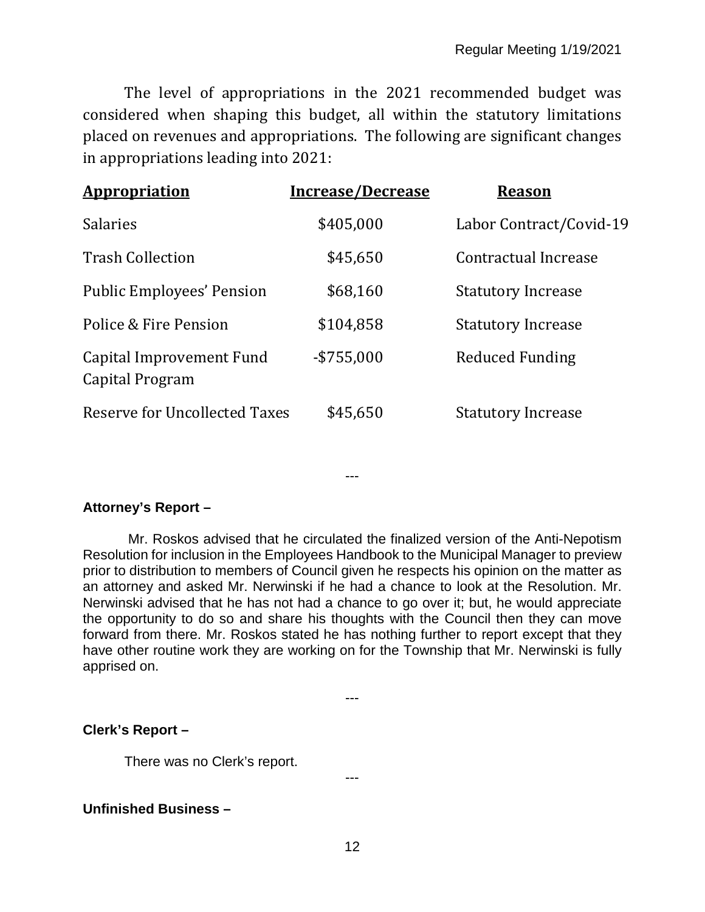The level of appropriations in the 2021 recommended budget was considered when shaping this budget, all within the statutory limitations placed on revenues and appropriations. The following are significant changes in appropriations leading into 2021:

| <b>Appropriation</b>                        | <b>Increase/Decrease</b> | <b>Reason</b>             |
|---------------------------------------------|--------------------------|---------------------------|
| <b>Salaries</b>                             | \$405,000                | Labor Contract/Covid-19   |
| <b>Trash Collection</b>                     | \$45,650                 | Contractual Increase      |
| <b>Public Employees' Pension</b>            | \$68,160                 | <b>Statutory Increase</b> |
| Police & Fire Pension                       | \$104,858                | <b>Statutory Increase</b> |
| Capital Improvement Fund<br>Capital Program | $-$ \$755,000            | Reduced Funding           |
| Reserve for Uncollected Taxes               | \$45,650                 | <b>Statutory Increase</b> |

---

# **Attorney's Report –**

Mr. Roskos advised that he circulated the finalized version of the Anti-Nepotism Resolution for inclusion in the Employees Handbook to the Municipal Manager to preview prior to distribution to members of Council given he respects his opinion on the matter as an attorney and asked Mr. Nerwinski if he had a chance to look at the Resolution. Mr. Nerwinski advised that he has not had a chance to go over it; but, he would appreciate the opportunity to do so and share his thoughts with the Council then they can move forward from there. Mr. Roskos stated he has nothing further to report except that they have other routine work they are working on for the Township that Mr. Nerwinski is fully apprised on.

---

## **Clerk's Report –**

There was no Clerk's report.

## **Unfinished Business –**

---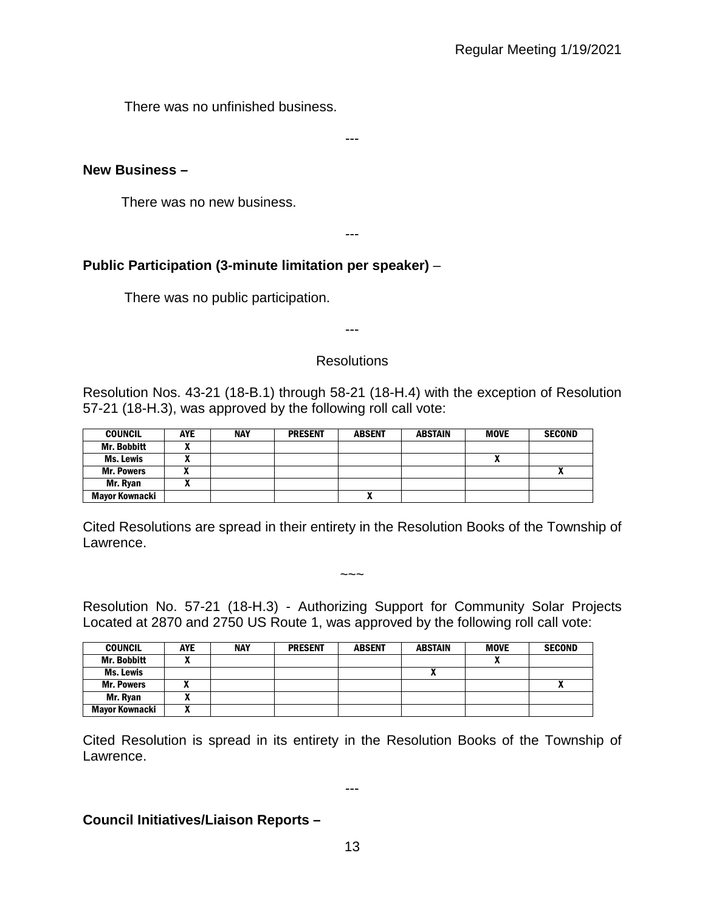There was no unfinished business.

### **New Business –**

There was no new business.

---

---

## **Public Participation (3-minute limitation per speaker)** –

There was no public participation.

---

### **Resolutions**

Resolution Nos. 43-21 (18-B.1) through 58-21 (18-H.4) with the exception of Resolution 57-21 (18-H.3), was approved by the following roll call vote:

| <b>COUNCIL</b>        | <b>AYE</b> | <b>NAY</b> | <b>PRESENT</b> | <b>ABSENT</b> | <b>ABSTAIN</b> | <b>MOVE</b> | <b>SECOND</b> |
|-----------------------|------------|------------|----------------|---------------|----------------|-------------|---------------|
| <b>Mr. Bobbitt</b>    |            |            |                |               |                |             |               |
| <b>Ms. Lewis</b>      |            |            |                |               |                |             |               |
| <b>Mr. Powers</b>     |            |            |                |               |                |             |               |
| Mr. Ryan              |            |            |                |               |                |             |               |
| <b>Mayor Kownacki</b> |            |            |                | Λ             |                |             |               |

Cited Resolutions are spread in their entirety in the Resolution Books of the Township of Lawrence.

Resolution No. 57-21 (18-H.3) - Authorizing Support for Community Solar Projects Located at 2870 and 2750 US Route 1, was approved by the following roll call vote:

 $\sim\sim\sim$ 

| <b>COUNCIL</b>        | <b>AYE</b> | <b>NAY</b> | <b>PRESENT</b> | <b>ABSENT</b> | <b>ABSTAIN</b> | <b>MOVE</b> | <b>SECOND</b> |
|-----------------------|------------|------------|----------------|---------------|----------------|-------------|---------------|
| Mr. Bobbitt           |            |            |                |               |                |             |               |
| Ms. Lewis             |            |            |                |               |                |             |               |
| <b>Mr. Powers</b>     |            |            |                |               |                |             | ^             |
| Mr. Ryan              |            |            |                |               |                |             |               |
| <b>Mayor Kownacki</b> |            |            |                |               |                |             |               |

Cited Resolution is spread in its entirety in the Resolution Books of the Township of Lawrence.

---

### **Council Initiatives/Liaison Reports –**